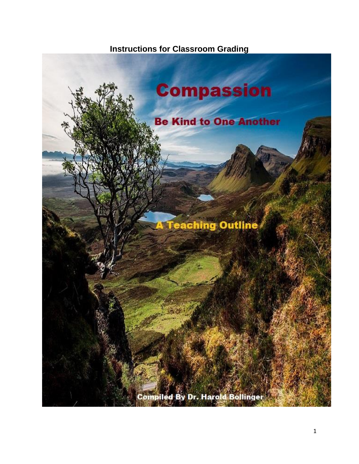## **Instructions for Classroom Grading**

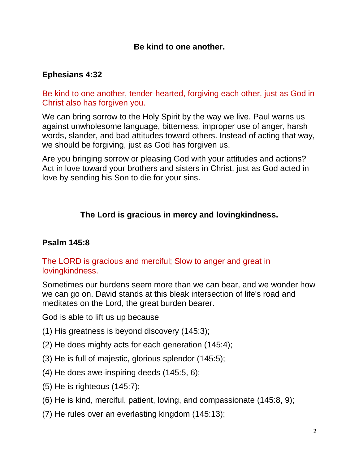### **Be kind to one another.**

### **[Ephesians](http://bible.knowing-jesus.com/Ephesians/4/32) 4:32**

Be kind to one another, tender-hearted, forgiving each other, just as God in Christ also has forgiven you.

We can bring sorrow to the Holy Spirit by the way we live. Paul warns us against unwholesome language, bitterness, improper use of anger, harsh words, slander, and bad attitudes toward others. Instead of acting that way, we should be forgiving, just as God has forgiven us.

Are you bringing sorrow or pleasing God with your attitudes and actions? Act in love toward your brothers and sisters in Christ, just as God acted in love by sending his Son to die for your sins.

### **The Lord is gracious in mercy and lovingkindness.**

#### **[Psalm](http://bible.knowing-jesus.com/Psalm/145/8) 145:8**

#### The LORD is gracious and merciful; Slow to anger and great in lovingkindness.

Sometimes our burdens seem more than we can bear, and we wonder how we can go on. David stands at this bleak intersection of life's road and meditates on the Lord, the great burden bearer.

God is able to lift us up because

- (1) His greatness is beyond discovery [\(145:3\)](http://www.crossbooks.com/verse.asp?ref=Ps+145%3A3);
- (2) He does mighty acts for each generation [\(145:4\)](http://www.crossbooks.com/verse.asp?ref=Ps+145%3A4);
- (3) He is full of majestic, glorious splendor [\(145:5\)](http://www.crossbooks.com/verse.asp?ref=Ps+145%3A5);
- (4) He does awe-inspiring deeds [\(145:5, 6\)](http://www.crossbooks.com/verse.asp?ref=Ps+145%3A5-6);
- (5) He is righteous [\(145:7\)](http://www.crossbooks.com/verse.asp?ref=Ps+145%3A7);
- (6) He is kind, merciful, patient, loving, and compassionate [\(145:8, 9\)](http://www.crossbooks.com/verse.asp?ref=Ps+145%3A8-9);
- (7) He rules over an everlasting kingdom [\(145:13\)](http://www.crossbooks.com/verse.asp?ref=Ps+145%3A13);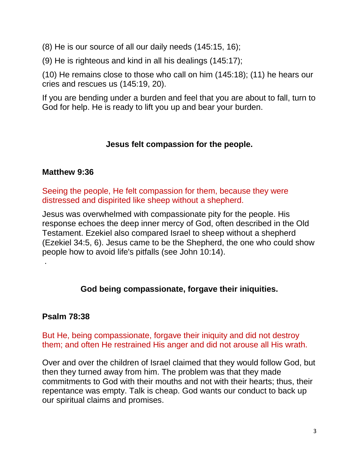(8) He is our source of all our daily needs [\(145:15, 16\)](http://www.crossbooks.com/verse.asp?ref=Ps+145%3A15-16);

(9) He is righteous and kind in all his dealings [\(145:17\)](http://www.crossbooks.com/verse.asp?ref=Ps+145%3A17);

(10) He remains close to those who call on him [\(145:18\)](http://www.crossbooks.com/verse.asp?ref=Ps+145%3A18); (11) he hears our cries and rescues us [\(145:19, 20\)](http://www.crossbooks.com/verse.asp?ref=Ps+145%3A19-20).

If you are bending under a burden and feel that you are about to fall, turn to God for help. He is ready to lift you up and bear your burden.

## **Jesus felt compassion for the people.**

### **[Matthew](http://bible.knowing-jesus.com/Matthew/9/36) 9:36**

Seeing the people, He felt compassion for them, because they were distressed and dispirited like sheep without a shepherd.

Jesus was overwhelmed with compassionate pity for the people. His response echoes the deep inner mercy of God, often described in the Old Testament. Ezekiel also compared Israel to sheep without a shepherd [\(Ezekiel 34:5, 6\)](http://www.crossbooks.com/verse.asp?ref=Eze+34%3A5-6). Jesus came to be the Shepherd, the one who could show people how to avoid life's pitfalls (see [John 10:14\)](http://www.crossbooks.com/verse.asp?ref=Jn+10%3A14).

## **God being compassionate, forgave their iniquities.**

### **[Psalm](http://bible.knowing-jesus.com/Psalm/78/38) 78:38**

.

But He, being compassionate, forgave their iniquity and did not destroy them; and often He restrained His anger and did not arouse all His wrath.

Over and over the children of Israel claimed that they would follow God, but then they turned away from him. The problem was that they made commitments to God with their mouths and not with their hearts; thus, their repentance was empty. Talk is cheap. God wants our conduct to back up our spiritual claims and promises.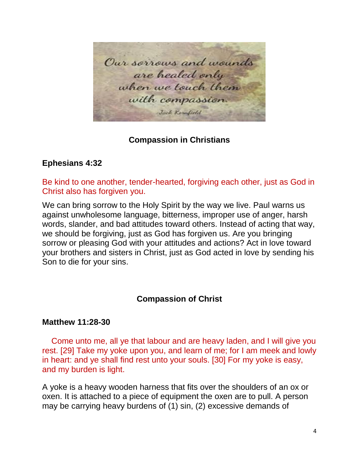Our sorrows and wounds are healed only when we touch them with compassion. Jack Kernfield

#### **[Compassion in Christians](http://bible.knowing-jesus.com/topics/Compassion,-In-Christians)**

#### **[Ephesians](http://bible.knowing-jesus.com/Ephesians/4/32) 4:32**

Be kind to one another, tender-hearted, forgiving each other, just as God in Christ also has forgiven you.

We can bring sorrow to the Holy Spirit by the way we live. Paul warns us against unwholesome language, bitterness, improper use of anger, harsh words, slander, and bad attitudes toward others. Instead of acting that way, we should be forgiving, just as God has forgiven us. Are you bringing sorrow or pleasing God with your attitudes and actions? Act in love toward your brothers and sisters in Christ, just as God acted in love by sending his Son to die for your sins.

#### **[Compassion](http://bible.knowing-jesus.com/topics/Compassion,-Of-Christ) of Christ**

#### **Matthew [11:28-30](http://bible.knowing-jesus.com/Matthew/11/28)**

 Come unto me, all ye that labour and are heavy laden, and I will give you rest. [29] Take my yoke upon you, and learn of me; for I am meek and lowly in heart: and ye shall find rest unto your souls. [30] For my yoke is easy, and my burden is light.

A yoke is a heavy wooden harness that fits over the shoulders of an ox or oxen. It is attached to a piece of equipment the oxen are to pull. A person may be carrying heavy burdens of (1) sin, (2) excessive demands of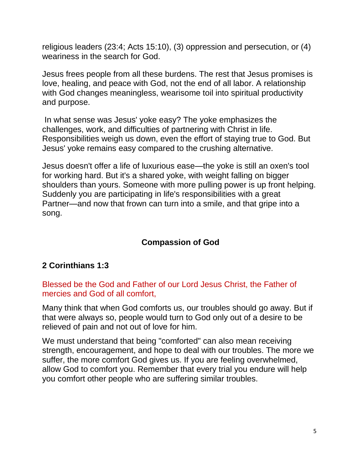religious leaders [\(23:4;](http://www.crossbooks.com/verse.asp?ref=Mt+23%3A4) [Acts 15:10\)](http://www.crossbooks.com/verse.asp?ref=Ac+15%3A10), (3) oppression and persecution, or (4) weariness in the search for God.

Jesus frees people from all these burdens. The rest that Jesus promises is love, healing, and peace with God, not the end of all labor. A relationship with God changes meaningless, wearisome toil into spiritual productivity and purpose.

In what sense was Jesus' yoke easy? The yoke emphasizes the challenges, work, and difficulties of partnering with Christ in life. Responsibilities weigh us down, even the effort of staying true to God. But Jesus' yoke remains easy compared to the crushing alternative.

Jesus doesn't offer a life of luxurious ease—the yoke is still an oxen's tool for working hard. But it's a shared yoke, with weight falling on bigger shoulders than yours. Someone with more pulling power is up front helping. Suddenly you are participating in life's responsibilities with a great Partner—and now that frown can turn into a smile, and that gripe into a song.

## **[Compassion of](http://bible.knowing-jesus.com/topics/God,-Compassion-Of) God**

### **2 [Corinthians](http://bible.knowing-jesus.com/2-Corinthians/1/3) 1:3**

Blessed be the God and Father of our Lord Jesus Christ, the Father of mercies and God of all comfort,

Many think that when God comforts us, our troubles should go away. But if that were always so, people would turn to God only out of a desire to be relieved of pain and not out of love for him.

We must understand that being "comforted" can also mean receiving strength, encouragement, and hope to deal with our troubles. The more we suffer, the more comfort God gives us. If you are feeling overwhelmed, allow God to comfort you. Remember that every trial you endure will help you comfort other people who are suffering similar troubles.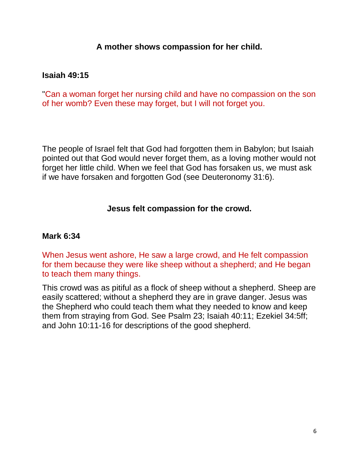#### **A mother shows compassion for her child.**

### **[Isaiah](http://bible.knowing-jesus.com/Isaiah/49/15) 49:15**

"Can a woman forget her nursing child and have no compassion on the son of her womb? Even these may forget, but I will not forget you.

The people of Israel felt that God had forgotten them in Babylon; but Isaiah pointed out that God would never forget them, as a loving mother would not forget her little child. When we feel that God has forsaken us, we must ask if we have forsaken and forgotten God (see [Deuteronomy 31:6\)](http://www.crossbooks.com/verse.asp?ref=Dt+31%3A6).

#### **Jesus felt compassion for the crowd.**

#### **[Mark](http://bible.knowing-jesus.com/Mark/6/34) 6:34**

When Jesus went ashore, He saw a large crowd, and He felt compassion for them because they were like sheep without a shepherd; and He began to teach them many things.

This crowd was as pitiful as a flock of sheep without a shepherd. Sheep are easily scattered; without a shepherd they are in grave danger. Jesus was the Shepherd who could teach them what they needed to know and keep them from straying from God. See [Psalm 23;](http://www.crossbooks.com/verse.asp?ref=Ps+23) [Isaiah 40:11;](http://www.crossbooks.com/verse.asp?ref=Isa+40%3A11) [Ezekiel 34:5ff;](http://www.crossbooks.com/verse.asp?ref=Eze+34%3A5) and [John 10:11-16](http://www.crossbooks.com/verse.asp?ref=Jn+10%3A11-16) for descriptions of the good shepherd.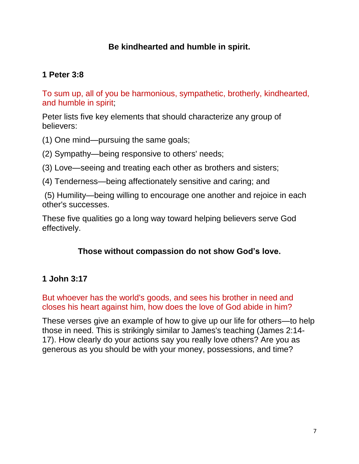### **Be kindhearted and humble in spirit.**

### **1 [Peter](http://bible.knowing-jesus.com/1-Peter/3/8) 3:8**

To sum up, all of you be harmonious, sympathetic, brotherly, kindhearted, and humble in spirit;

Peter lists five key elements that should characterize any group of believers:

(1) One mind—pursuing the same goals;

(2) Sympathy—being responsive to others' needs;

- (3) Love—seeing and treating each other as brothers and sisters;
- (4) Tenderness—being affectionately sensitive and caring; and

(5) Humility—being willing to encourage one another and rejoice in each other's successes.

These five qualities go a long way toward helping believers serve God effectively.

### **Those without compassion do not show God's love.**

### **1 [John](http://bible.knowing-jesus.com/1-John/3/17) 3:17**

But whoever has the world's goods, and sees his brother in need and closes his heart against him, how does the love of God abide in him?

These verses give an example of how to give up our life for others—to help those in need. This is strikingly similar to James's teaching [\(James 2:14-](http://www.crossbooks.com/verse.asp?ref=Jas+2%3A14-17) [17\)](http://www.crossbooks.com/verse.asp?ref=Jas+2%3A14-17). How clearly do your actions say you really love others? Are you as generous as you should be with your money, possessions, and time?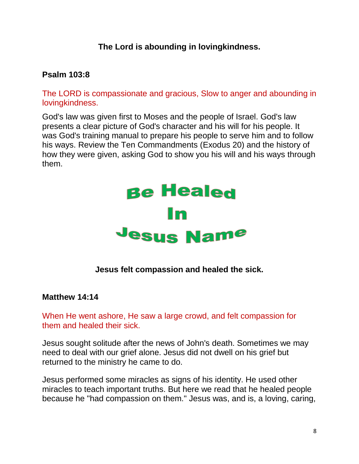## **The Lord is abounding in lovingkindness.**

### **[Psalm](http://bible.knowing-jesus.com/Psalm/103/8) 103:8**

The LORD is compassionate and gracious, Slow to anger and abounding in lovingkindness.

God's law was given first to Moses and the people of Israel. God's law presents a clear picture of God's character and his will for his people. It was God's training manual to prepare his people to serve him and to follow his ways. Review the Ten Commandments [\(Exodus 20\)](http://www.crossbooks.com/verse.asp?ref=Ex+20) and the history of how they were given, asking God to show you his will and his ways through them.



**Jesus felt compassion and healed the sick.**

#### **[Matthew](http://bible.knowing-jesus.com/Matthew/14/14) 14:14**

When He went ashore, He saw a large crowd, and felt compassion for them and healed their sick.

Jesus sought solitude after the news of John's death. Sometimes we may need to deal with our grief alone. Jesus did not dwell on his grief but returned to the ministry he came to do.

Jesus performed some miracles as signs of his identity. He used other miracles to teach important truths. But here we read that he healed people because he "had compassion on them." Jesus was, and is, a loving, caring,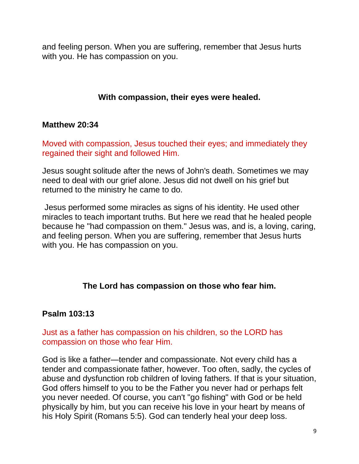and feeling person. When you are suffering, remember that Jesus hurts with you. He has compassion on you.

### **With compassion, their eyes were healed.**

#### **[Matthew](http://bible.knowing-jesus.com/Matthew/20/34) 20:34**

Moved with compassion, Jesus touched their eyes; and immediately they regained their sight and followed Him.

Jesus sought solitude after the news of John's death. Sometimes we may need to deal with our grief alone. Jesus did not dwell on his grief but returned to the ministry he came to do.

Jesus performed some miracles as signs of his identity. He used other miracles to teach important truths. But here we read that he healed people because he "had compassion on them." Jesus was, and is, a loving, caring, and feeling person. When you are suffering, remember that Jesus hurts with you. He has compassion on you.

#### **The Lord has compassion on those who fear him.**

### **Psalm [103:13](http://bible.knowing-jesus.com/Psalm/103/13)**

### Just as a father has compassion on his children, so the LORD has compassion on those who fear Him.

God is like a father—tender and compassionate. Not every child has a tender and compassionate father, however. Too often, sadly, the cycles of abuse and dysfunction rob children of loving fathers. If that is your situation, God offers himself to you to be the Father you never had or perhaps felt you never needed. Of course, you can't "go fishing" with God or be held physically by him, but you can receive his love in your heart by means of his Holy Spirit [\(Romans 5:5\)](http://www.crossbooks.com/verse.asp?ref=Ro+5%3A5). God can tenderly heal your deep loss.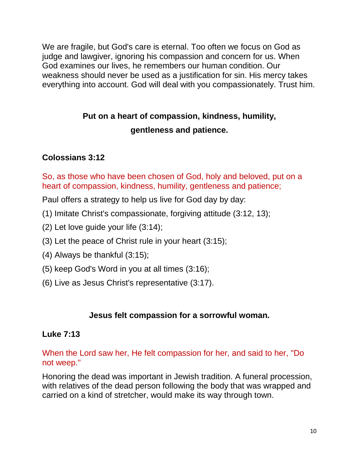We are fragile, but God's care is eternal. Too often we focus on God as judge and lawgiver, ignoring his compassion and concern for us. When God examines our lives, he remembers our human condition. Our weakness should never be used as a justification for sin. His mercy takes everything into account. God will deal with you compassionately. Trust him.

# **Put on a heart of compassion, kindness, humility, gentleness and patience.**

## **[Colossians](http://bible.knowing-jesus.com/Colossians/3/12) 3:12**

So, as those who have been chosen of God, holy and beloved, put on a heart of compassion, kindness, humility, gentleness and patience;

Paul offers a strategy to help us live for God day by day:

- (1) Imitate Christ's compassionate, forgiving attitude [\(3:12, 13\)](http://www.crossbooks.com/verse.asp?ref=Col+3%3A12-13);
- (2) Let love guide your life [\(3:14\)](http://www.crossbooks.com/verse.asp?ref=Col+3%3A14);
- (3) Let the peace of Christ rule in your heart [\(3:15\)](http://www.crossbooks.com/verse.asp?ref=Col+3%3A15);
- (4) Always be thankful [\(3:15\)](http://www.crossbooks.com/verse.asp?ref=Col+3%3A15);
- (5) keep God's Word in you at all times [\(3:16\)](http://www.crossbooks.com/verse.asp?ref=Col+3%3A16);
- (6) Live as Jesus Christ's representative [\(3:17\)](http://www.crossbooks.com/verse.asp?ref=Col+3%3A17).

### **Jesus felt compassion for a sorrowful woman.**

### **[Luke](http://bible.knowing-jesus.com/Luke/7/13) 7:13**

When the Lord saw her, He felt compassion for her, and said to her, "Do not weep."

Honoring the dead was important in Jewish tradition. A funeral procession, with relatives of the dead person following the body that was wrapped and carried on a kind of stretcher, would make its way through town.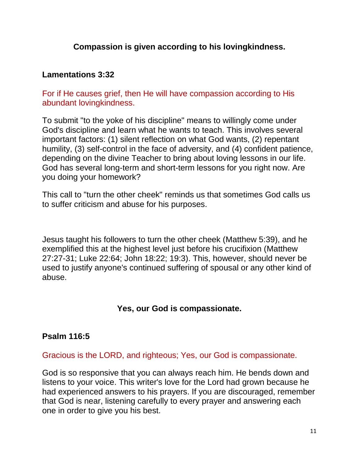### **Compassion is given according to his lovingkindness.**

### **[Lamentations](http://bible.knowing-jesus.com/Lamentations/3/32) 3:32**

For if He causes grief, then He will have compassion according to His abundant lovingkindness.

To submit "to the yoke of his discipline" means to willingly come under God's discipline and learn what he wants to teach. This involves several important factors: (1) silent reflection on what God wants, (2) repentant humility, (3) self-control in the face of adversity, and (4) confident patience, depending on the divine Teacher to bring about loving lessons in our life. God has several long-term and short-term lessons for you right now. Are you doing your homework?

This call to "turn the other cheek" reminds us that sometimes God calls us to suffer criticism and abuse for his purposes.

Jesus taught his followers to turn the other cheek [\(Matthew 5:39\)](http://www.crossbooks.com/verse.asp?ref=Mt+5%3A39), and he exemplified this at the highest level just before his crucifixion [\(Matthew](http://www.crossbooks.com/verse.asp?ref=Mt+27%3A27-31)  [27:27-31;](http://www.crossbooks.com/verse.asp?ref=Mt+27%3A27-31) [Luke 22:64;](http://www.crossbooks.com/verse.asp?ref=Lk+22%3A64) [John 18:22;](http://www.crossbooks.com/verse.asp?ref=Jn+18%3A22) [19:3\)](http://www.crossbooks.com/verse.asp?ref=Jn+19%3A3). This, however, should never be used to justify anyone's continued suffering of spousal or any other kind of abuse.

### **Yes, our God is compassionate.**

#### **[Psalm](http://bible.knowing-jesus.com/Psalm/116/5) 116:5**

Gracious is the LORD, and righteous; Yes, our God is compassionate.

God is so responsive that you can always reach him. He bends down and listens to your voice. This writer's love for the Lord had grown because he had experienced answers to his prayers. If you are discouraged, remember that God is near, listening carefully to every prayer and answering each one in order to give you his best.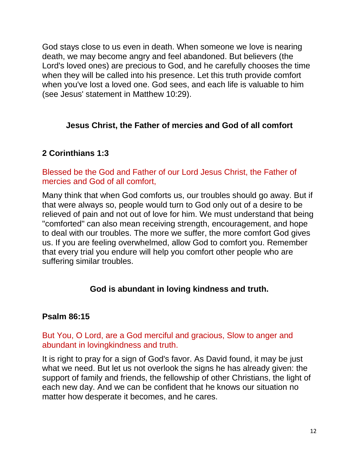God stays close to us even in death. When someone we love is nearing death, we may become angry and feel abandoned. But believers (the Lord's loved ones) are precious to God, and he carefully chooses the time when they will be called into his presence. Let this truth provide comfort when you've lost a loved one. God sees, and each life is valuable to him (see Jesus' statement in [Matthew 10:29\)](http://www.crossbooks.com/verse.asp?ref=Mt+10%3A29).

### **Jesus Christ, the Father of mercies and God of all comfort**

### **2 [Corinthians](http://bible.knowing-jesus.com/2-Corinthians/1/3) 1:3**

### Blessed be the God and Father of our Lord Jesus Christ, the Father of mercies and God of all comfort,

Many think that when God comforts us, our troubles should go away. But if that were always so, people would turn to God only out of a desire to be relieved of pain and not out of love for him. We must understand that being "comforted" can also mean receiving strength, encouragement, and hope to deal with our troubles. The more we suffer, the more comfort God gives us. If you are feeling overwhelmed, allow God to comfort you. Remember that every trial you endure will help you comfort other people who are suffering similar troubles.

### **God is abundant in loving kindness and truth.**

#### **[Psalm](http://bible.knowing-jesus.com/Psalm/86/15) 86:15**

#### But You, O Lord, are a God merciful and gracious, Slow to anger and abundant in lovingkindness and truth.

It is right to pray for a sign of God's favor. As David found, it may be just what we need. But let us not overlook the signs he has already given: the support of family and friends, the fellowship of other Christians, the light of each new day. And we can be confident that he knows our situation no matter how desperate it becomes, and he cares.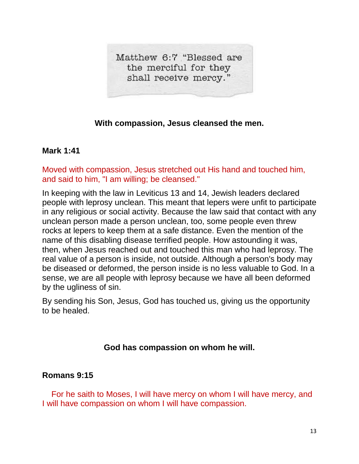Matthew 6:7 "Blessed are the merciful for they shall receive mercy."

### **With compassion, Jesus cleansed the men.**

#### **[Mark](http://bible.knowing-jesus.com/Mark/1/41) 1:41**

Moved with compassion, Jesus stretched out His hand and touched him, and said to him, "I am willing; be cleansed."

In keeping with the law in [Leviticus 13](http://www.crossbooks.com/verse.asp?ref=Lev+13) and [14,](http://www.crossbooks.com/verse.asp?ref=Lev+14) Jewish leaders declared people with leprosy unclean. This meant that lepers were unfit to participate in any religious or social activity. Because the law said that contact with any unclean person made a person unclean, too, some people even threw rocks at lepers to keep them at a safe distance. Even the mention of the name of this disabling disease terrified people. How astounding it was, then, when Jesus reached out and touched this man who had leprosy. The real value of a person is inside, not outside. Although a person's body may be diseased or deformed, the person inside is no less valuable to God. In a sense, we are all people with leprosy because we have all been deformed by the ugliness of sin.

By sending his Son, Jesus, God has touched us, giving us the opportunity to be healed.

#### **God has compassion on whom he will.**

#### **[Romans](http://bible.knowing-jesus.com/Romans/9/15) 9:15**

 For he saith to Moses, I will have mercy on whom I will have mercy, and I will have compassion on whom I will have compassion.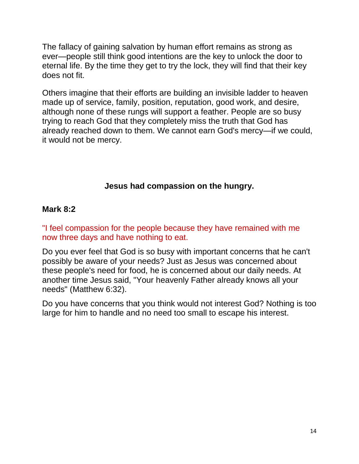The fallacy of gaining salvation by human effort remains as strong as ever—people still think good intentions are the key to unlock the door to eternal life. By the time they get to try the lock, they will find that their key does not fit.

Others imagine that their efforts are building an invisible ladder to heaven made up of service, family, position, reputation, good work, and desire, although none of these rungs will support a feather. People are so busy trying to reach God that they completely miss the truth that God has already reached down to them. We cannot earn God's mercy—if we could, it would not be mercy.

### **Jesus had compassion on the hungry.**

### **[Mark](http://bible.knowing-jesus.com/Mark/8/2) 8:2**

"I feel compassion for the people because they have remained with me now three days and have nothing to eat.

Do you ever feel that God is so busy with important concerns that he can't possibly be aware of your needs? Just as Jesus was concerned about these people's need for food, he is concerned about our daily needs. At another time Jesus said, "Your heavenly Father already knows all your needs" [\(Matthew 6:32\)](http://www.crossbooks.com/verse.asp?ref=Mt+6%3A32).

Do you have concerns that you think would not interest God? Nothing is too large for him to handle and no need too small to escape his interest.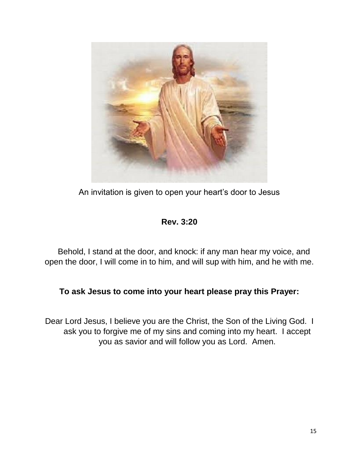

An invitation is given to open your heart's door to Jesus

## **Rev. 3:20**

 Behold, I stand at the door, and knock: if any man hear my voice, and open the door, I will come in to him, and will sup with him, and he with me.

### **To ask Jesus to come into your heart please pray this Prayer:**

Dear Lord Jesus, I believe you are the Christ, the Son of the Living God. I ask you to forgive me of my sins and coming into my heart. I accept you as savior and will follow you as Lord. Amen.